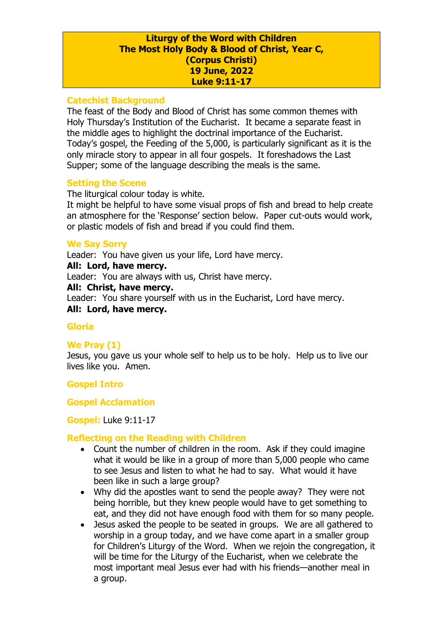#### **Liturgy of the Word with Children The Most Holy Body & Blood of Christ, Year C, (Corpus Christi) 19 June, 2022 Luke 9:11-17**

#### **Catechist Background**

The feast of the Body and Blood of Christ has some common themes with Holy Thursday's Institution of the Eucharist. It became a separate feast in the middle ages to highlight the doctrinal importance of the Eucharist. Today's gospel, the Feeding of the 5,000, is particularly significant as it is the only miracle story to appear in all four gospels. It foreshadows the Last Supper; some of the language describing the meals is the same.

### **Setting the Scene**

The liturgical colour today is white.

It might be helpful to have some visual props of fish and bread to help create an atmosphere for the 'Response' section below. Paper cut-outs would work, or plastic models of fish and bread if you could find them.

## **We Say Sorry**

Leader: You have given us your life, Lord have mercy.

### **All: Lord, have mercy.**

Leader: You are always with us, Christ have mercy.

### **All: Christ, have mercy.**

Leader: You share yourself with us in the Eucharist, Lord have mercy.

#### **All: Lord, have mercy.**

## **Gloria**

## **We Pray (1)**

Jesus, you gave us your whole self to help us to be holy. Help us to live our lives like you. Amen.

## **Gospel Intro**

#### **Gospel Acclamation**

#### **Gospel:** Luke 9:11-17

## **Reflecting on the Reading with Children**

- Count the number of children in the room. Ask if they could imagine what it would be like in a group of more than 5,000 people who came to see Jesus and listen to what he had to say. What would it have been like in such a large group?
- Why did the apostles want to send the people away? They were not being horrible, but they knew people would have to get something to eat, and they did not have enough food with them for so many people.
- Jesus asked the people to be seated in groups. We are all gathered to worship in a group today, and we have come apart in a smaller group for Children's Liturgy of the Word. When we rejoin the congregation, it will be time for the Liturgy of the Eucharist, when we celebrate the most important meal Jesus ever had with his friends—another meal in a group.